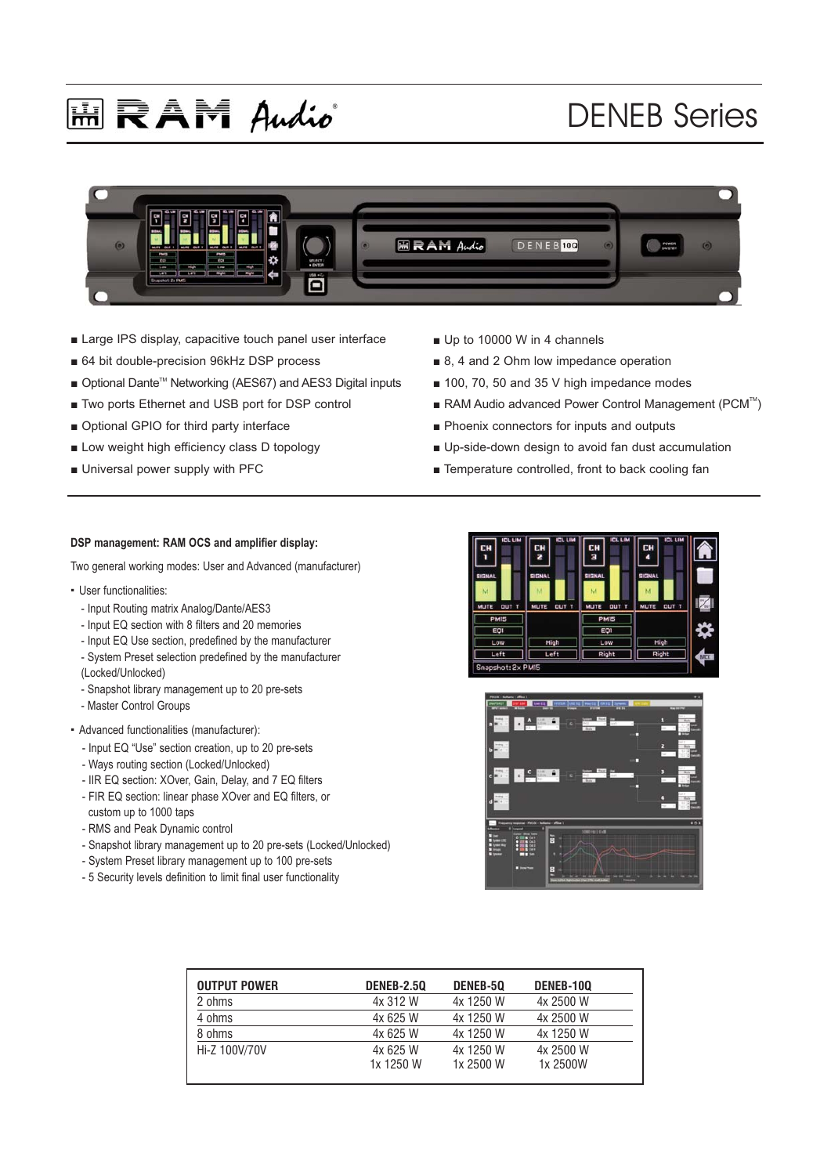# **国民AM Audio**

## DENEB Series



- Large IPS display, capacitive touch panel user interface
- 64 bit double-precision 96kHz DSP process
- Optional Dante<sup>™</sup> Networking (AES67) and AES3 Digital inputs
- Two ports Ethernet and USB port for DSP control
- Optional GPIO for third party interface
- Low weight high efficiency class D topology
- Universal power supply with PFC
- Up to 10000 W in 4 channels
- 8, 4 and 2 Ohm low impedance operation
- 100, 70, 50 and 35 V high impedance modes
- RAM Audio advanced Power Control Management (PCM<sup>™</sup>)
- Phoenix connectors for inputs and outputs
- Up-side-down design to avoid fan dust accumulation
- Temperature controlled, front to back cooling fan

#### **DSP management: RAM OCS and amplifier display:**

Two general working modes: User and Advanced (manufacturer)

- · User functionalities:
	- Input Routing matrix Analog/Dante/AES3
	- Input EQ section with 8 filters and 20 memories
	- Input EQ Use section, predefined by the manufacturer
	- System Preset selection predefined by the manufacturer (Locked/Unlocked)
	- Snapshot library management up to 20 pre-sets
	- Master Control Groups
- · Advanced functionalities (manufacturer):
	- Input EQ "Use" section creation, up to 20 pre-sets
	- Ways routing section (Locked/Unlocked)
	- IIR EQ section: XOver, Gain, Delay, and 7 EQ filters
	- FIR EQ section: linear phase XOver and EQ filters, or
	- custom up to 1000 taps
	- RMS and Peak Dynamic control
	- Snapshot library management up to 20 pre-sets (Locked/Unlocked)
	- System Preset library management up to 100 pre-sets
	- 5 Security levels definition to limit final user functionality





| <b>OUTPUT POWER</b> | <b>DENEB-2.50</b> | DENEB-50  | DENEB-100 |
|---------------------|-------------------|-----------|-----------|
| 2 ohms              | 4x 312 W          | 4x 1250 W | 4x 2500 W |
| 4 ohms              | 4x 625 W          | 4x 1250 W | 4x 2500 W |
| 8 ohms              | 4x 625 W          | 4x 1250 W | 4x 1250 W |
| Hi-Z 100V/70V       | 4x 625 W          | 4x 1250 W | 4x 2500 W |
|                     | 1x 1250 W         | 1x 2500 W | 1x 2500W  |